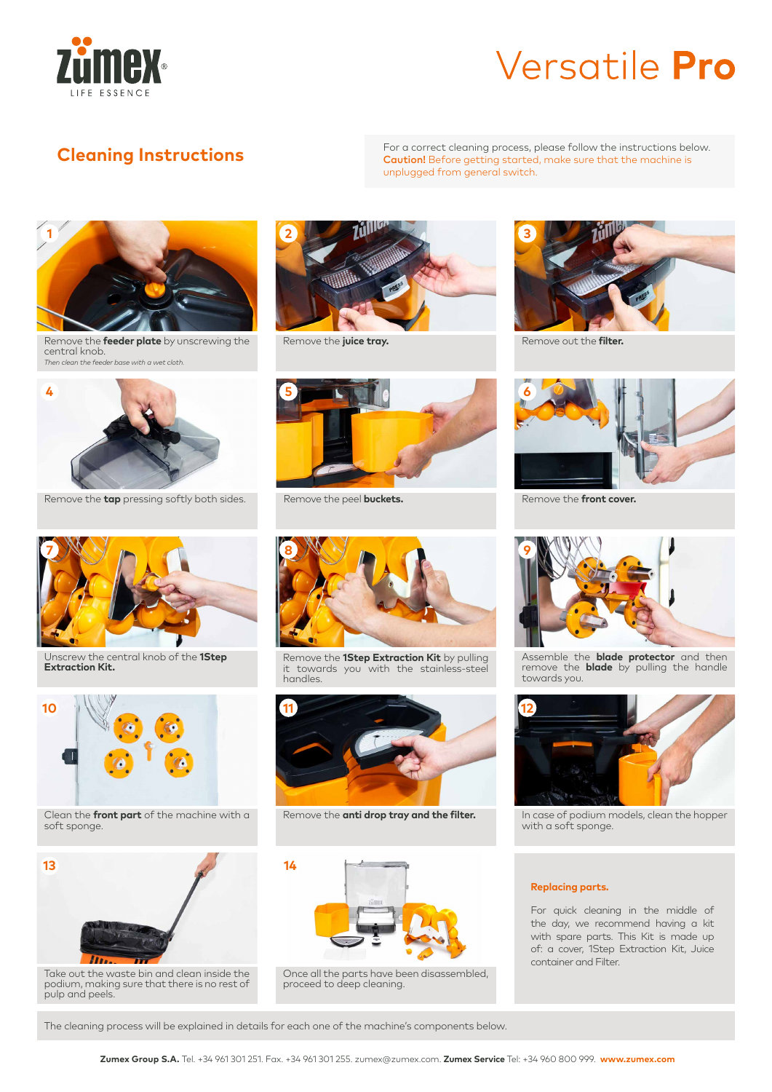

**Cleaning Instructions**<br> **Cleaning Instructions**<br> **For a correct cleaning process, please follow the instructions below.**<br> **Caution!** Before getting started, make sure that the machine is Caution! Before getting started, make sure that the machine is unplugged from general switch.



Remove the **feeder plate** by unscrewing the central knob. *Then clean the feeder base with a wet cloth.*



Remove the **juice tray.**



Remove the **tap** pressing softly both sides. Remove the peel **buckets.** 



Unscrew the central knob of the **1Step Extraction Kit.** 



Clean the **front part** of the machine with a soft sponge.



Take out the waste bin and clean inside the podium, making sure that there is no rest of pulp and peels.





Remove the **1Step Extraction Kit** by pulling it towards you with the stainless-steel handles.



Remove the **anti drop tray and the filter.**



Once all the parts have been disassembled, proceed to deep cleaning.



Remove out the **filter.**



Remove the **front cover.**



Assemble the **blade protector** and then remove the **blade** by pulling the handle towards you.



In case of podium models, clean the hopper with a soft sponge.

#### **Replacing parts.**

For quick cleaning in the middle of the day, we recommend having a kit with spare parts. This Kit is made up of: a cover, 1Step Extraction Kit, Juice container and Filter.

The cleaning process will be explained in details for each one of the machine's components below.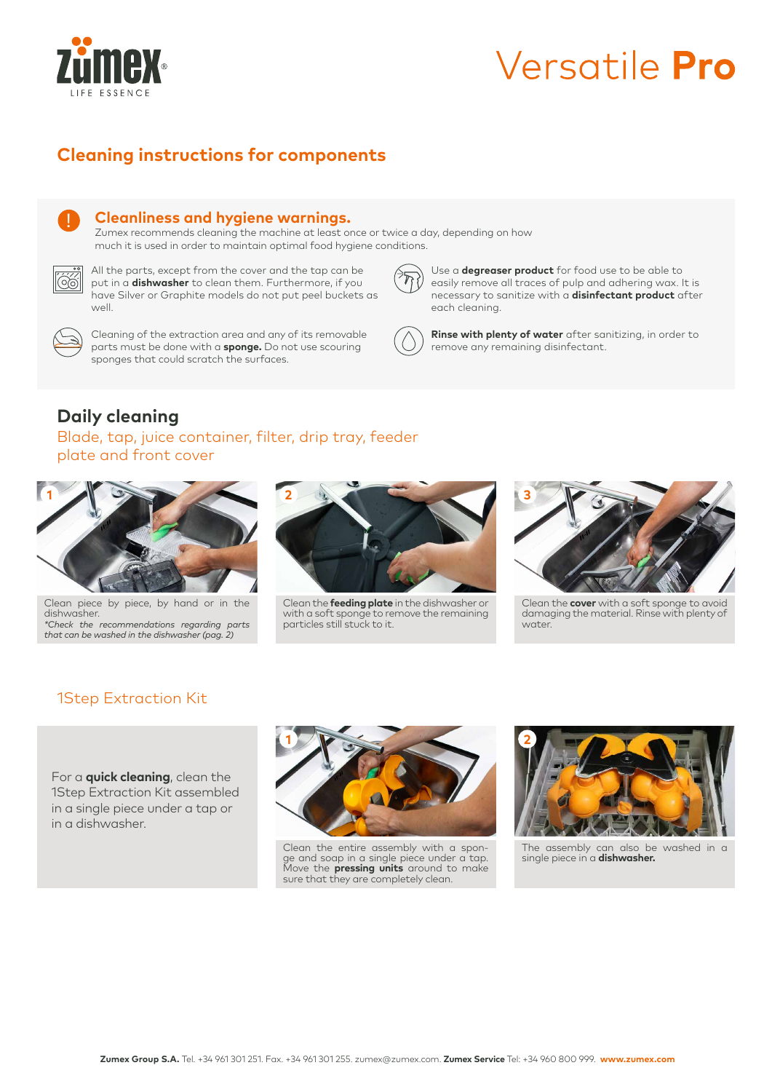

### **Cleaning instructions for components**



#### **Cleanliness and hygiene warnings.**

Zumex recommends cleaning the machine at least once or twice a day, depending on how much it is used in order to maintain optimal food hygiene conditions.



All the parts, except from the cover and the tap can be put in a **dishwasher** to clean them. Furthermore, if you have Silver or Graphite models do not put peel buckets as well.



Cleaning of the extraction area and any of its removable parts must be done with a **sponge.** Do not use scouring sponges that could scratch the surfaces.



Use a **degreaser product** for food use to be able to easily remove all traces of pulp and adhering wax. It is necessary to sanitize with a **disinfectant product** after each cleaning.



**Rinse with plenty of water** after sanitizing, in order to remove any remaining disinfectant.

### **Daily cleaning**

Blade, tap, juice container, filter, drip tray, feeder plate and front cover



Clean piece by piece, by hand or in the dishwasher. *\*Check the recommendations regarding parts that can be washed in the dishwasher (pag. 2)*



Clean the **feeding plate** in the dishwasher or with a soft sponge to remove the remaining particles still stuck to it.



Clean the **cover** with a soft sponge to avoid damaging the material. Rinse with plenty of water.

### 1Step Extraction Kit

For a **quick cleaning**, clean the 1Step Extraction Kit assembled in a single piece under a tap or in a dishwasher.



Clean the entire assembly with a sponge and soap in a single piece under a tap. Move the **pressing units** around to make sure that they are completely clean.



The assembly can also be washed in a single piece in a **dishwasher.**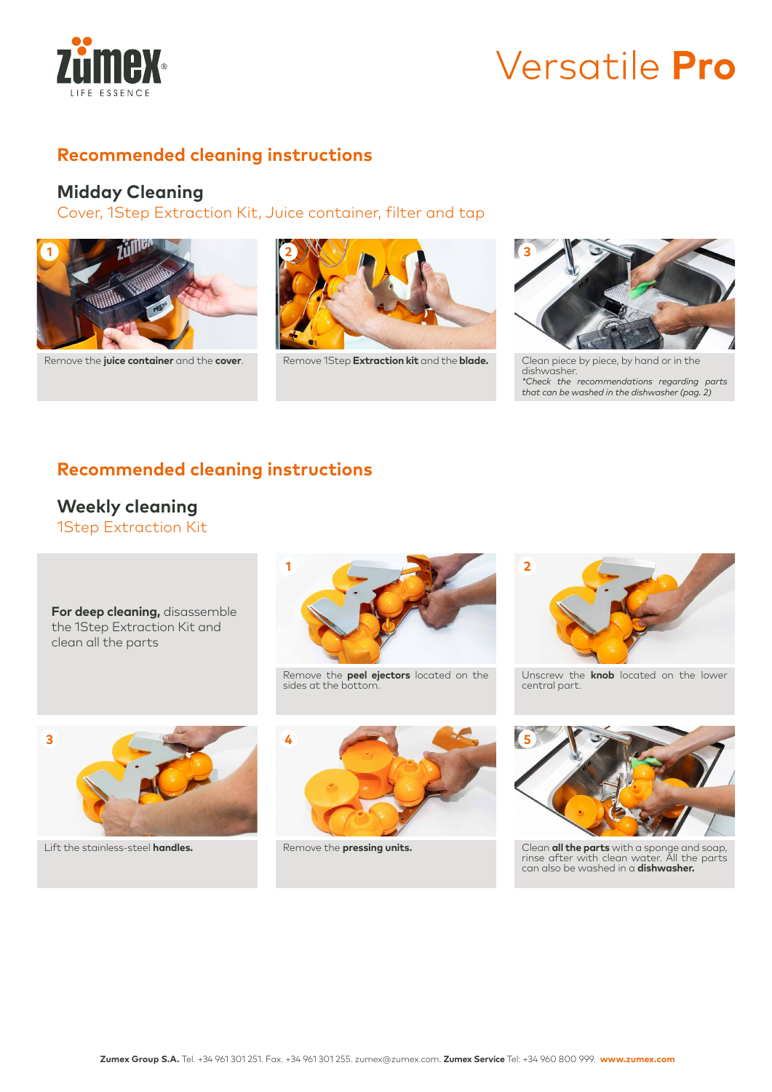

### **Recommended cleaning instructions**

### **Midday Cleaning**

Cover, 1Step Extraction Kit, Juice container, filter and tap



Remove the **juice container** and the **cover**. Remove 1Step Extraction kit and the blade.





Clean piece by piece, by hand or in the dishwasher. *\*Check the recommendations regarding parts that can be washed in the dishwasher (pag. 2)*

### **Recommended cleaning instructions**

#### 1Step Extraction Kit **Weekly cleaning**

**For deep cleaning,** disassemble the 1Step Extraction Kit and clean all the parts



Lift the stainless-steel **handles.**



Remove the **peel ejectors** located on the sides at the bottom.



Remove the **pressing units.**



Unscrew the **knob** located on the lower central part.



Clean **all the parts** with a sponge and soap, rinse after with clean water. All the parts can also be washed in a **dishwasher.**